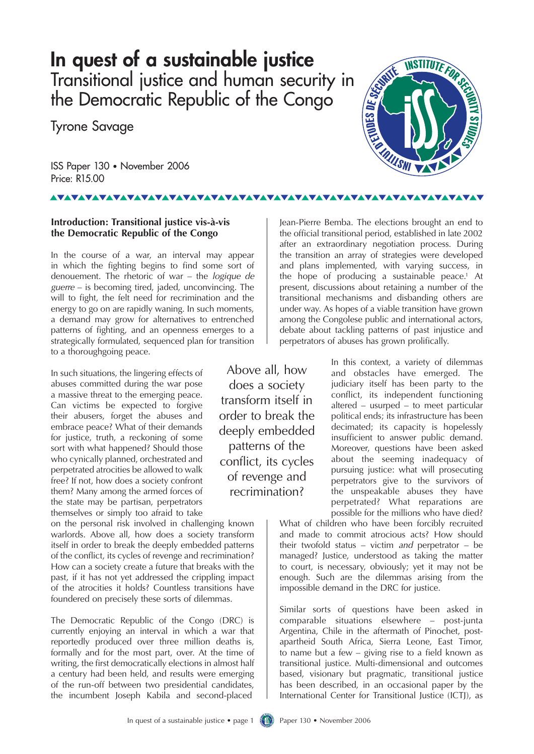# **In quest of a sustainable justice** In quest of a sustainable justice<br>Transitional justice and human security in<br>the Democratic Republic of the Congo<br>Tyrone Savage the Democratic Republic of the Congo

Tyrone Savage

ISS Paper 130 • November 2006 Price: R15.00

# <u>I vavavavavavavavavava</u>

## **Introduction: Transitional justice vis-à-vis the Democratic Republic of the Congo**

In the course of a war, an interval may appear in which the fighting begins to find some sort of denouement. The rhetoric of war – the *logique de guerre* – is becoming tired, jaded, unconvincing. The will to fight, the felt need for recrimination and the energy to go on are rapidly waning. In such moments, a demand may grow for alternatives to entrenched patterns of fighting, and an openness emerges to a strategically formulated, sequenced plan for transition to a thoroughgoing peace.

In such situations, the lingering effects of abuses committed during the war pose a massive threat to the emerging peace. Can victims be expected to forgive their abusers, forget the abuses and embrace peace? What of their demands for justice, truth, a reckoning of some sort with what happened? Should those who cynically planned, orchestrated and perpetrated atrocities be allowed to walk free? If not, how does a society confront them? Many among the armed forces of the state may be partisan, perpetrators themselves or simply too afraid to take

on the personal risk involved in challenging known warlords. Above all, how does a society transform itself in order to break the deeply embedded patterns of the conflict, its cycles of revenge and recrimination? How can a society create a future that breaks with the past, if it has not yet addressed the crippling impact of the atrocities it holds? Countless transitions have foundered on precisely these sorts of dilemmas.

The Democratic Republic of the Congo (DRC) is currently enjoying an interval in which a war that reportedly produced over three million deaths is, formally and for the most part, over. At the time of writing, the first democratically elections in almost half a century had been held, and results were emerging of the run-off between two presidential candidates, the incumbent Joseph Kabila and second-placed

Above all, how does a society transform itself in order to break the deeply embedded patterns of the conflict, its cycles of revenge and recrimination?

Jean-Pierre Bemba. The elections brought an end to the official transitional period, established in late 2002 after an extraordinary negotiation process. During the transition an array of strategies were developed and plans implemented, with varying success, in the hope of producing a sustainable peace.<sup>1</sup> At present, discussions about retaining a number of the transitional mechanisms and disbanding others are under way. As hopes of a viable transition have grown among the Congolese public and international actors, debate about tackling patterns of past injustice and perpetrators of abuses has grown prolifically.

> In this context, a variety of dilemmas and obstacles have emerged. The judiciary itself has been party to the conflict, its independent functioning altered – usurped – to meet particular political ends; its infrastructure has been decimated; its capacity is hopelessly insufficient to answer public demand. Moreover, questions have been asked about the seeming inadequacy of pursuing justice: what will prosecuting perpetrators give to the survivors of the unspeakable abuses they have perpetrated? What reparations are possible for the millions who have died?

What of children who have been forcibly recruited and made to commit atrocious acts? How should their twofold status – victim *and* perpetrator – be managed? Justice, understood as taking the matter to court, is necessary, obviously; yet it may not be enough. Such are the dilemmas arising from the impossible demand in the DRC for justice.

Similar sorts of questions have been asked in comparable situations elsewhere – post-junta Argentina, Chile in the aftermath of Pinochet, postapartheid South Africa, Sierra Leone, East Timor, to name but a few – giving rise to a field known as transitional justice. Multi-dimensional and outcomes based, visionary but pragmatic, transitional justice has been described, in an occasional paper by the International Center for Transitional Justice (ICTJ), as



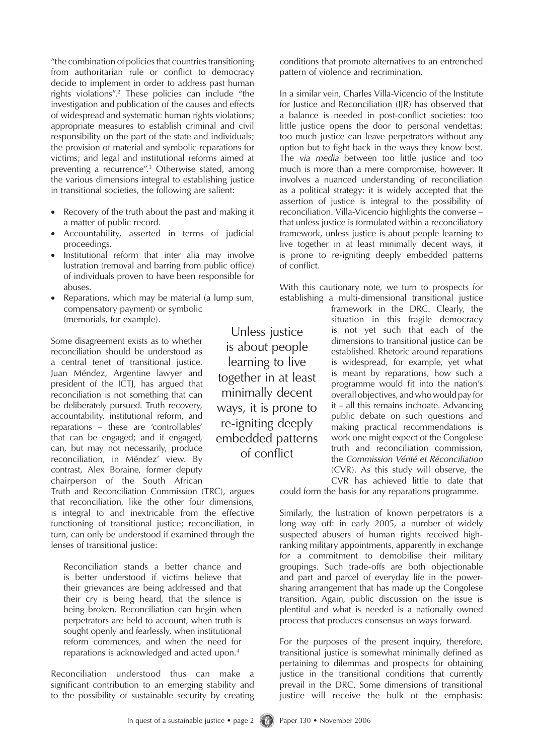"the combination of policies that countries transitioning from authoritarian rule or conflict to democracy decide to implement in order to address past human rights violations".2 These policies can include "the investigation and publication of the causes and effects of widespread and systematic human rights violations; appropriate measures to establish criminal and civil responsibility on the part of the state and individuals; the provision of material and symbolic reparations for victims; and legal and institutional reforms aimed at preventing a recurrence".3 Otherwise stated, among the various dimensions integral to establishing justice in transitional societies, the following are salient:

- Recovery of the truth about the past and making it a matter of public record.
- Accountability, asserted in terms of judicial proceedings.
- Institutional reform that inter alia may involve lustration (removal and barring from public office) of individuals proven to have been responsible for abuses.
- Reparations, which may be material (a lump sum, compensatory payment) or symbolic (memorials, for example).

Some disagreement exists as to whether reconciliation should be understood as a central tenet of transitional justice. Juan Méndez, Argentine lawyer and president of the ICTJ, has argued that reconciliation is not something that can be deliberately pursued. Truth recovery, accountability, institutional reform, and reparations – these are 'controllables' that can be engaged; and if engaged, can, but may not necessarily, produce reconciliation, in Méndez' view. By contrast, Alex Boraine, former deputy chairperson of the South African

Truth and Reconciliation Commission (TRC), argues that reconciliation, like the other four dimensions, is integral to and inextricable from the effective functioning of transitional justice; reconciliation, in turn, can only be understood if examined through the lenses of transitional justice:

Reconciliation stands a better chance and is better understood if victims believe that their grievances are being addressed and that their cry is being heard, that the silence is being broken. Reconciliation can begin when perpetrators are held to account, when truth is sought openly and fearlessly, when institutional reform commences, and when the need for reparations is acknowledged and acted upon.4

Reconciliation understood thus can make a significant contribution to an emerging stability and to the possibility of sustainable security by creating

Unless justice is about people learning to live together in at least minimally decent ways, it is prone to re-igniting deeply embedded patterns of conflict

conditions that promote alternatives to an entrenched pattern of violence and recrimination.

In a similar vein, Charles Villa-Vicencio of the Institute for Justice and Reconciliation (IIR) has observed that a balance is needed in post-conflict societies: too little justice opens the door to personal vendettas; too much justice can leave perpetrators without any option but to fight back in the ways they know best. The *via media* between too little justice and too much is more than a mere compromise, however. It involves a nuanced understanding of reconciliation as a political strategy: it is widely accepted that the assertion of justice is integral to the possibility of reconciliation. Villa-Vicencio highlights the converse – that unless justice is formulated within a reconciliatory framework, unless justice is about people learning to live together in at least minimally decent ways, it is prone to re-igniting deeply embedded patterns of conflict.

With this cautionary note, we turn to prospects for establishing a multi-dimensional transitional justice

> framework in the DRC. Clearly, the situation in this fragile democracy is not yet such that each of the dimensions to transitional justice can be established. Rhetoric around reparations is widespread, for example, yet what is meant by reparations, how such a programme would fit into the nation's overall objectives, and who would pay for it – all this remains inchoate. Advancing public debate on such questions and making practical recommendations is work one might expect of the Congolese truth and reconciliation commission, the *Commission Vérité et Réconciliation* (CVR). As this study will observe, the CVR has achieved little to date that

could form the basis for any reparations programme.

Similarly, the lustration of known perpetrators is a long way off: in early 2005, a number of widely suspected abusers of human rights received highranking military appointments, apparently in exchange for a commitment to demobilise their military groupings. Such trade-offs are both objectionable and part and parcel of everyday life in the powersharing arrangement that has made up the Congolese transition. Again, public discussion on the issue is plentiful and what is needed is a nationally owned process that produces consensus on ways forward.

For the purposes of the present inquiry, therefore, transitional justice is somewhat minimally defined as pertaining to dilemmas and prospects for obtaining justice in the transitional conditions that currently prevail in the DRC. Some dimensions of transitional justice will receive the bulk of the emphasis:

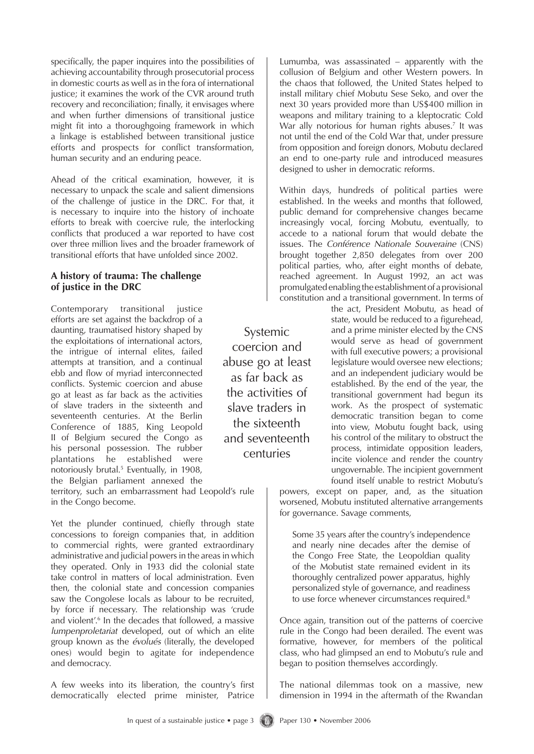specifically, the paper inquires into the possibilities of achieving accountability through prosecutorial process in domestic courts as well as in the fora of international justice; it examines the work of the CVR around truth recovery and reconciliation; finally, it envisages where and when further dimensions of transitional justice might fit into a thoroughgoing framework in which a linkage is established between transitional justice efforts and prospects for conflict transformation, human security and an enduring peace.

Ahead of the critical examination, however, it is necessary to unpack the scale and salient dimensions of the challenge of justice in the DRC. For that, it is necessary to inquire into the history of inchoate efforts to break with coercive rule, the interlocking conflicts that produced a war reported to have cost over three million lives and the broader framework of transitional efforts that have unfolded since 2002.

## **A history of trauma: The challenge of justice in the DRC**

Contemporary transitional justice efforts are set against the backdrop of a daunting, traumatised history shaped by the exploitations of international actors, the intrigue of internal elites, failed attempts at transition, and a continual ebb and flow of myriad interconnected conflicts. Systemic coercion and abuse go at least as far back as the activities of slave traders in the sixteenth and seventeenth centuries. At the Berlin Conference of 1885, King Leopold II of Belgium secured the Congo as his personal possession. The rubber plantations he established were notoriously brutal.5 Eventually, in 1908, the Belgian parliament annexed the

territory, such an embarrassment had Leopold's rule in the Congo become.

Yet the plunder continued, chiefly through state concessions to foreign companies that, in addition to commercial rights, were granted extraordinary administrative and judicial powers in the areas in which they operated. Only in 1933 did the colonial state take control in matters of local administration. Even then, the colonial state and concession companies saw the Congolese locals as labour to be recruited, by force if necessary. The relationship was 'crude and violent'.6 In the decades that followed, a massive *lumpenproletariat* developed, out of which an elite group known as the *évolués* (literally, the developed ones) would begin to agitate for independence and democracy.

A few weeks into its liberation, the country's first democratically elected prime minister, Patrice

Lumumba, was assassinated – apparently with the collusion of Belgium and other Western powers. In the chaos that followed, the United States helped to install military chief Mobutu Sese Seko, and over the next 30 years provided more than US\$400 million in weapons and military training to a kleptocratic Cold War ally notorious for human rights abuses.<sup>7</sup> It was not until the end of the Cold War that, under pressure from opposition and foreign donors, Mobutu declared an end to one-party rule and introduced measures designed to usher in democratic reforms.

Within days, hundreds of political parties were established. In the weeks and months that followed, public demand for comprehensive changes became increasingly vocal, forcing Mobutu, eventually, to accede to a national forum that would debate the issues. The *Conférence Nationale Souveraine* (CNS) brought together 2,850 delegates from over 200 political parties, who, after eight months of debate, reached agreement. In August 1992, an act was promulgated enabling the establishment of a provisional constitution and a transitional government. In terms of

> the act, President Mobutu, as head of state, would be reduced to a figurehead, and a prime minister elected by the CNS would serve as head of government with full executive powers; a provisional legislature would oversee new elections; and an independent judiciary would be established. By the end of the year, the transitional government had begun its work. As the prospect of systematic democratic transition began to come into view, Mobutu fought back, using his control of the military to obstruct the process, intimidate opposition leaders, incite violence and render the country ungovernable. The incipient government found itself unable to restrict Mobutu's

powers, except on paper, and, as the situation worsened, Mobutu instituted alternative arrangements for governance. Savage comments,

Some 35 years after the country's independence and nearly nine decades after the demise of the Congo Free State, the Leopoldian quality of the Mobutist state remained evident in its thoroughly centralized power apparatus, highly personalized style of governance, and readiness to use force whenever circumstances required.<sup>8</sup>

Once again, transition out of the patterns of coercive rule in the Congo had been derailed. The event was formative, however, for members of the political class, who had glimpsed an end to Mobutu's rule and began to position themselves accordingly.

The national dilemmas took on a massive, new dimension in 1994 in the aftermath of the Rwandan



Systemic coercion and abuse go at least as far back as the activities of slave traders in the sixteenth and seventeenth centuries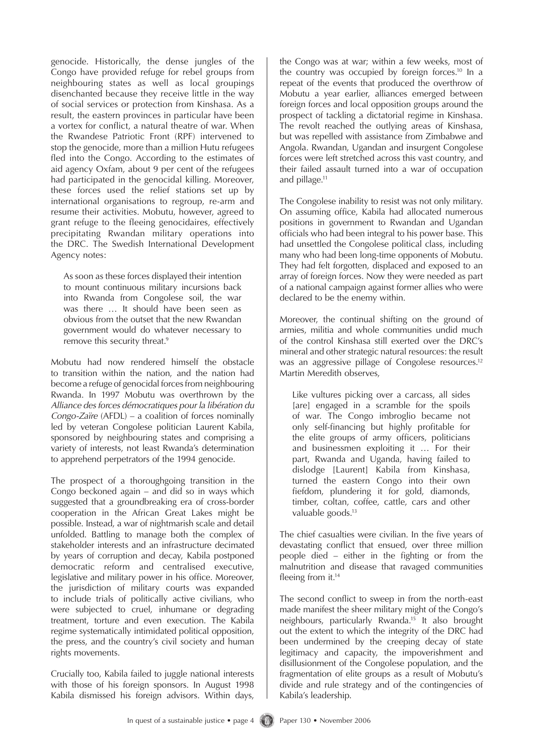genocide. Historically, the dense jungles of the Congo have provided refuge for rebel groups from neighbouring states as well as local groupings disenchanted because they receive little in the way of social services or protection from Kinshasa. As a result, the eastern provinces in particular have been a vortex for conflict, a natural theatre of war. When the Rwandese Patriotic Front (RPF) intervened to stop the genocide, more than a million Hutu refugees fled into the Congo. According to the estimates of aid agency Oxfam, about 9 per cent of the refugees had participated in the genocidal killing. Moreover, these forces used the relief stations set up by international organisations to regroup, re-arm and resume their activities. Mobutu, however, agreed to grant refuge to the fleeing genocidaires, effectively precipitating Rwandan military operations into the DRC. The Swedish International Development Agency notes:

As soon as these forces displayed their intention to mount continuous military incursions back into Rwanda from Congolese soil, the war was there … It should have been seen as obvious from the outset that the new Rwandan government would do whatever necessary to remove this security threat.9

Mobutu had now rendered himself the obstacle to transition within the nation, and the nation had become a refuge of genocidal forces from neighbouring Rwanda. In 1997 Mobutu was overthrown by the *Alliance des forces démocratiques pour la libération du Congo-Zaïre* (AFDL) – a coalition of forces nominally led by veteran Congolese politician Laurent Kabila, sponsored by neighbouring states and comprising a variety of interests, not least Rwanda's determination to apprehend perpetrators of the 1994 genocide.

The prospect of a thoroughgoing transition in the Congo beckoned again – and did so in ways which suggested that a groundbreaking era of cross-border cooperation in the African Great Lakes might be possible. Instead, a war of nightmarish scale and detail unfolded. Battling to manage both the complex of stakeholder interests and an infrastructure decimated by years of corruption and decay, Kabila postponed democratic reform and centralised executive, legislative and military power in his office. Moreover, the jurisdiction of military courts was expanded to include trials of politically active civilians, who were subjected to cruel, inhumane or degrading treatment, torture and even execution. The Kabila regime systematically intimidated political opposition, the press, and the country's civil society and human rights movements.

Crucially too, Kabila failed to juggle national interests with those of his foreign sponsors. In August 1998 Kabila dismissed his foreign advisors. Within days,

the Congo was at war; within a few weeks, most of the country was occupied by foreign forces.<sup>10</sup> In a repeat of the events that produced the overthrow of Mobutu a year earlier, alliances emerged between foreign forces and local opposition groups around the prospect of tackling a dictatorial regime in Kinshasa. The revolt reached the outlying areas of Kinshasa, but was repelled with assistance from Zimbabwe and Angola. Rwandan, Ugandan and insurgent Congolese forces were left stretched across this vast country, and their failed assault turned into a war of occupation and pillage.11

The Congolese inability to resist was not only military. On assuming office, Kabila had allocated numerous positions in government to Rwandan and Ugandan officials who had been integral to his power base. This had unsettled the Congolese political class, including many who had been long-time opponents of Mobutu. They had felt forgotten, displaced and exposed to an array of foreign forces. Now they were needed as part of a national campaign against former allies who were declared to be the enemy within.

Moreover, the continual shifting on the ground of armies, militia and whole communities undid much of the control Kinshasa still exerted over the DRC's mineral and other strategic natural resources: the result was an aggressive pillage of Congolese resources.12 Martin Meredith observes,

Like vultures picking over a carcass, all sides [are] engaged in a scramble for the spoils of war. The Congo imbroglio became not only self-financing but highly profitable for the elite groups of army officers, politicians and businessmen exploiting it … For their part, Rwanda and Uganda, having failed to dislodge [Laurent] Kabila from Kinshasa, turned the eastern Congo into their own fiefdom, plundering it for gold, diamonds, timber, coltan, coffee, cattle, cars and other valuable goods.<sup>13</sup>

The chief casualties were civilian. In the five years of devastating conflict that ensued, over three million people died – either in the fighting or from the malnutrition and disease that ravaged communities fleeing from it.<sup>14</sup>

The second conflict to sweep in from the north-east made manifest the sheer military might of the Congo's neighbours, particularly Rwanda.15 It also brought out the extent to which the integrity of the DRC had been undermined by the creeping decay of state legitimacy and capacity, the impoverishment and disillusionment of the Congolese population, and the fragmentation of elite groups as a result of Mobutu's divide and rule strategy and of the contingencies of Kabila's leadership.

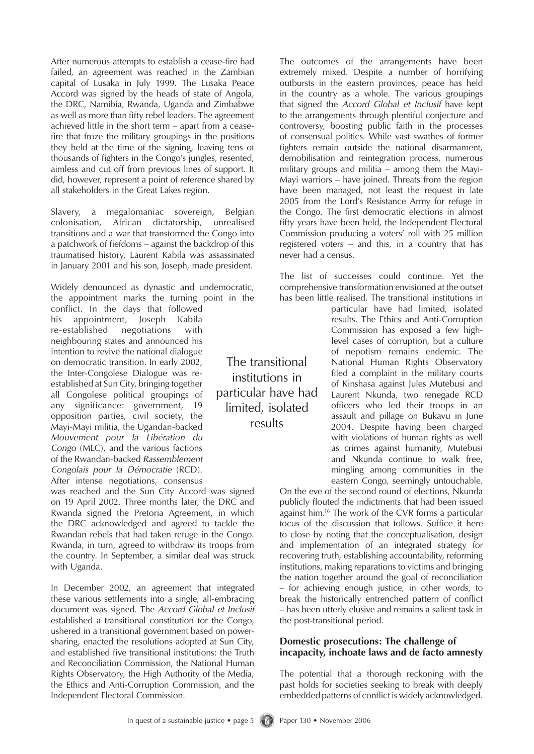After numerous attempts to establish a cease-fire had failed, an agreement was reached in the Zambian capital of Lusaka in July 1999. The Lusaka Peace Accord was signed by the heads of state of Angola, the DRC, Namibia, Rwanda, Uganda and Zimbabwe as well as more than fifty rebel leaders. The agreement achieved little in the short term – apart from a ceasefire that froze the military groupings in the positions they held at the time of the signing, leaving tens of thousands of fighters in the Congo's jungles, resented, aimless and cut off from previous lines of support. It did, however, represent a point of reference shared by all stakeholders in the Great Lakes region.

Slavery, a megalomaniac sovereign, Belgian colonisation, African dictatorship, unrealised transitions and a war that transformed the Congo into a patchwork of fiefdoms – against the backdrop of this traumatised history, Laurent Kabila was assassinated in January 2001 and his son, Joseph, made president.

Widely denounced as dynastic and undemocratic, the appointment marks the turning point in the

conflict. In the days that followed his appointment, Joseph Kabila re-established negotiations with neighbouring states and announced his intention to revive the national dialogue on democratic transition. In early 2002, the Inter-Congolese Dialogue was reestablished at Sun City, bringing together all Congolese political groupings of any significance: government, 19 opposition parties, civil society, the Mayi-Mayi militia, the Ugandan-backed *Mouvement pour la Libération du Cong*o (MLC), and the various factions of the Rwandan-backed *Rassemblement Congolais pour la Démocratie* (RCD). After intense negotiations, consensus

was reached and the Sun City Accord was signed on 19 April 2002. Three months later, the DRC and Rwanda signed the Pretoria Agreement, in which the DRC acknowledged and agreed to tackle the Rwandan rebels that had taken refuge in the Congo. Rwanda, in turn, agreed to withdraw its troops from the country. In September, a similar deal was struck with Uganda.

In December 2002, an agreement that integrated these various settlements into a single, all-embracing document was signed. The *Accord Global et Inclusif* established a transitional constitution for the Congo, ushered in a transitional government based on powersharing, enacted the resolutions adopted at Sun City, and established five transitional institutions: the Truth and Reconciliation Commission, the National Human Rights Observatory, the High Authority of the Media, the Ethics and Anti-Corruption Commission, and the Independent Electoral Commission.

The outcomes of the arrangements have been extremely mixed. Despite a number of horrifying outbursts in the eastern provinces, peace has held in the country as a whole. The various groupings that signed the *Accord Global et Inclusif* have kept to the arrangements through plentiful conjecture and controversy, boosting public faith in the processes of consensual politics. While vast swathes of former fighters remain outside the national disarmament, demobilisation and reintegration process, numerous military groups and militia – among them the Mayi-Mayi warriors – have joined. Threats from the region have been managed, not least the request in late 2005 from the Lord's Resistance Army for refuge in the Congo. The first democratic elections in almost fifty years have been held, the Independent Electoral Commission producing a voters' roll with 25 million registered voters – and this, in a country that has never had a census.

The list of successes could continue. Yet the comprehensive transformation envisioned at the outset has been little realised. The transitional institutions in

> particular have had limited, isolated results. The Ethics and Anti-Corruption Commission has exposed a few highlevel cases of corruption, but a culture of nepotism remains endemic. The National Human Rights Observatory filed a complaint in the military courts of Kinshasa against Jules Mutebusi and Laurent Nkunda, two renegade RCD officers who led their troops in an assault and pillage on Bukavu in June 2004. Despite having been charged with violations of human rights as well as crimes against humanity, Mutebusi and Nkunda continue to walk free, mingling among communities in the eastern Congo, seemingly untouchable.

On the eve of the second round of elections, Nkunda publicly flouted the indictments that had been issued against him.16 The work of the CVR forms a particular focus of the discussion that follows. Suffice it here to close by noting that the conceptualisation, design and implementation of an integrated strategy for recovering truth, establishing accountability, reforming institutions, making reparations to victims and bringing the nation together around the goal of reconciliation – for achieving enough justice, in other words, to break the historically entrenched pattern of conflict – has been utterly elusive and remains a salient task in the post-transitional period.

### **Domestic prosecutions: The challenge of incapacity, inchoate laws and de facto amnesty**

The potential that a thorough reckoning with the past holds for societies seeking to break with deeply embedded patterns of conflict is widely acknowledged.

In quest of a sustainable justice • page 5  $\binom{9}{2}$  Paper 130 • November 2006

The transitional institutions in particular have had limited, isolated results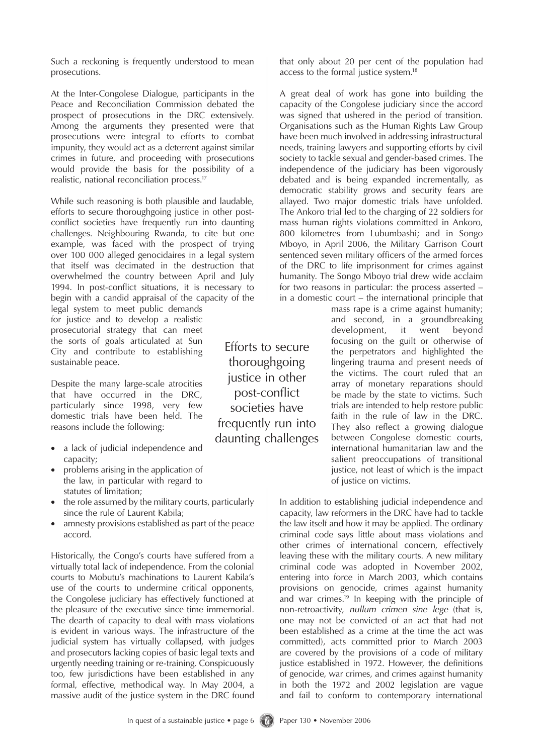Such a reckoning is frequently understood to mean prosecutions.

At the Inter-Congolese Dialogue, participants in the Peace and Reconciliation Commission debated the prospect of prosecutions in the DRC extensively. Among the arguments they presented were that prosecutions were integral to efforts to combat impunity, they would act as a deterrent against similar crimes in future, and proceeding with prosecutions would provide the basis for the possibility of a realistic, national reconciliation process.17

While such reasoning is both plausible and laudable, efforts to secure thoroughgoing justice in other postconflict societies have frequently run into daunting challenges. Neighbouring Rwanda, to cite but one example, was faced with the prospect of trying over 100 000 alleged genocidaires in a legal system that itself was decimated in the destruction that overwhelmed the country between April and July 1994. In post-conflict situations, it is necessary to begin with a candid appraisal of the capacity of the

legal system to meet public demands for justice and to develop a realistic prosecutorial strategy that can meet the sorts of goals articulated at Sun City and contribute to establishing sustainable peace.

Despite the many large-scale atrocities that have occurred in the DRC, particularly since 1998, very few domestic trials have been held. The reasons include the following:

- a lack of judicial independence and capacity;
- problems arising in the application of the law, in particular with regard to statutes of limitation;
- the role assumed by the military courts, particularly since the rule of Laurent Kabila;
- amnesty provisions established as part of the peace accord.

Historically, the Congo's courts have suffered from a virtually total lack of independence. From the colonial courts to Mobutu's machinations to Laurent Kabila's use of the courts to undermine critical opponents, the Congolese judiciary has effectively functioned at the pleasure of the executive since time immemorial. The dearth of capacity to deal with mass violations is evident in various ways. The infrastructure of the judicial system has virtually collapsed, with judges and prosecutors lacking copies of basic legal texts and urgently needing training or re-training. Conspicuously too, few jurisdictions have been established in any formal, effective, methodical way. In May 2004, a massive audit of the justice system in the DRC found

Efforts to secure thoroughgoing justice in other post-conflict societies have frequently run into daunting challenges

that only about 20 per cent of the population had access to the formal justice system.18

A great deal of work has gone into building the capacity of the Congolese judiciary since the accord was signed that ushered in the period of transition. Organisations such as the Human Rights Law Group have been much involved in addressing infrastructural needs, training lawyers and supporting efforts by civil society to tackle sexual and gender-based crimes. The independence of the judiciary has been vigorously debated and is being expanded incrementally, as democratic stability grows and security fears are allayed. Two major domestic trials have unfolded. The Ankoro trial led to the charging of 22 soldiers for mass human rights violations committed in Ankoro, 800 kilometres from Lubumbashi; and in Songo Mboyo, in April 2006, the Military Garrison Court sentenced seven military officers of the armed forces of the DRC to life imprisonment for crimes against humanity. The Songo Mboyo trial drew wide acclaim for two reasons in particular: the process asserted – in a domestic court – the international principle that

> mass rape is a crime against humanity; and second, in a groundbreaking development, it went beyond focusing on the guilt or otherwise of the perpetrators and highlighted the lingering trauma and present needs of the victims. The court ruled that an array of monetary reparations should be made by the state to victims. Such trials are intended to help restore public faith in the rule of law in the DRC. They also reflect a growing dialogue between Congolese domestic courts, international humanitarian law and the salient preoccupations of transitional justice, not least of which is the impact of justice on victims.

In addition to establishing judicial independence and capacity, law reformers in the DRC have had to tackle the law itself and how it may be applied. The ordinary criminal code says little about mass violations and other crimes of international concern, effectively leaving these with the military courts. A new military criminal code was adopted in November 2002, entering into force in March 2003, which contains provisions on genocide, crimes against humanity and war crimes.19 In keeping with the principle of non-retroactivity, *nullum crimen sine lege* (that is, one may not be convicted of an act that had not been established as a crime at the time the act was committed), acts committed prior to March 2003 are covered by the provisions of a code of military justice established in 1972. However, the definitions of genocide, war crimes, and crimes against humanity in both the 1972 and 2002 legislation are vague and fail to conform to contemporary international

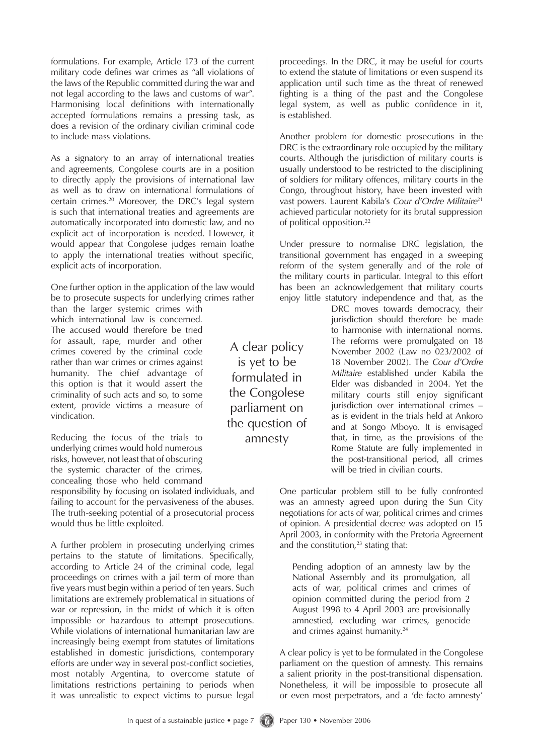formulations. For example, Article 173 of the current military code defines war crimes as "all violations of the laws of the Republic committed during the war and not legal according to the laws and customs of war". Harmonising local definitions with internationally accepted formulations remains a pressing task, as does a revision of the ordinary civilian criminal code to include mass violations.

As a signatory to an array of international treaties and agreements, Congolese courts are in a position to directly apply the provisions of international law as well as to draw on international formulations of certain crimes.20 Moreover, the DRC's legal system is such that international treaties and agreements are automatically incorporated into domestic law, and no explicit act of incorporation is needed. However, it would appear that Congolese judges remain loathe to apply the international treaties without specific, explicit acts of incorporation.

One further option in the application of the law would be to prosecute suspects for underlying crimes rather

than the larger systemic crimes with which international law is concerned. The accused would therefore be tried for assault, rape, murder and other crimes covered by the criminal code rather than war crimes or crimes against humanity. The chief advantage of this option is that it would assert the criminality of such acts and so, to some extent, provide victims a measure of vindication.

Reducing the focus of the trials to underlying crimes would hold numerous risks, however, not least that of obscuring the systemic character of the crimes, concealing those who held command

responsibility by focusing on isolated individuals, and failing to account for the pervasiveness of the abuses. The truth-seeking potential of a prosecutorial process would thus be little exploited.

A further problem in prosecuting underlying crimes pertains to the statute of limitations. Specifically, according to Article 24 of the criminal code, legal proceedings on crimes with a jail term of more than five years must begin within a period of ten years. Such limitations are extremely problematical in situations of war or repression, in the midst of which it is often impossible or hazardous to attempt prosecutions. While violations of international humanitarian law are increasingly being exempt from statutes of limitations established in domestic jurisdictions, contemporary efforts are under way in several post-conflict societies, most notably Argentina, to overcome statute of limitations restrictions pertaining to periods when it was unrealistic to expect victims to pursue legal

A clear policy is yet to be formulated in the Congolese parliament on the question of amnesty

proceedings. In the DRC, it may be useful for courts to extend the statute of limitations or even suspend its application until such time as the threat of renewed fighting is a thing of the past and the Congolese legal system, as well as public confidence in it, is established.

Another problem for domestic prosecutions in the DRC is the extraordinary role occupied by the military courts. Although the jurisdiction of military courts is usually understood to be restricted to the disciplining of soldiers for military offences, military courts in the Congo, throughout history, have been invested with vast powers. Laurent Kabila's *Cour d'Ordre Militaire*<sup>21</sup> achieved particular notoriety for its brutal suppression of political opposition.<sup>22</sup>

Under pressure to normalise DRC legislation, the transitional government has engaged in a sweeping reform of the system generally and of the role of the military courts in particular. Integral to this effort has been an acknowledgement that military courts enjoy little statutory independence and that, as the

DRC moves towards democracy, their jurisdiction should therefore be made to harmonise with international norms. The reforms were promulgated on 18 November 2002 (Law no 023/2002 of 18 November 2002). The *Cour d'Ordre Militaire* established under Kabila the Elder was disbanded in 2004. Yet the military courts still enjoy significant jurisdiction over international crimes – as is evident in the trials held at Ankoro and at Songo Mboyo. It is envisaged that, in time, as the provisions of the Rome Statute are fully implemented in the post-transitional period, all crimes will be tried in civilian courts.

One particular problem still to be fully confronted was an amnesty agreed upon during the Sun City negotiations for acts of war, political crimes and crimes of opinion. A presidential decree was adopted on 15 April 2003, in conformity with the Pretoria Agreement and the constitution.<sup>23</sup> stating that:

Pending adoption of an amnesty law by the National Assembly and its promulgation, all acts of war, political crimes and crimes of opinion committed during the period from 2 August 1998 to 4 April 2003 are provisionally amnestied, excluding war crimes, genocide and crimes against humanity.<sup>24</sup>

A clear policy is yet to be formulated in the Congolese parliament on the question of amnesty. This remains a salient priority in the post-transitional dispensation. Nonetheless, it will be impossible to prosecute all or even most perpetrators, and a 'de facto amnesty'

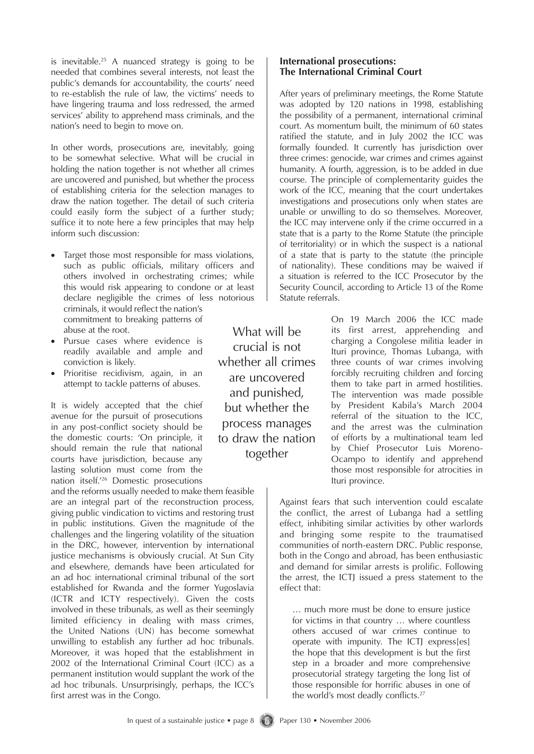is inevitable.<sup>25</sup> A nuanced strategy is going to be needed that combines several interests, not least the public's demands for accountability, the courts' need to re-establish the rule of law, the victims' needs to have lingering trauma and loss redressed, the armed services' ability to apprehend mass criminals, and the nation's need to begin to move on.

In other words, prosecutions are, inevitably, going to be somewhat selective. What will be crucial in holding the nation together is not whether all crimes are uncovered and punished, but whether the process of establishing criteria for the selection manages to draw the nation together. The detail of such criteria could easily form the subject of a further study; suffice it to note here a few principles that may help inform such discussion:

- Target those most responsible for mass violations, such as public officials, military officers and others involved in orchestrating crimes; while this would risk appearing to condone or at least declare negligible the crimes of less notorious criminals, it would reflect the nation's commitment to breaking patterns of abuse at the root.
- Pursue cases where evidence is readily available and ample and conviction is likely.
- Prioritise recidivism, again, in an attempt to tackle patterns of abuses.

It is widely accepted that the chief avenue for the pursuit of prosecutions in any post-conflict society should be the domestic courts: 'On principle, it should remain the rule that national courts have jurisdiction, because any lasting solution must come from the nation itself.'26 Domestic prosecutions

and the reforms usually needed to make them feasible are an integral part of the reconstruction process, giving public vindication to victims and restoring trust in public institutions. Given the magnitude of the challenges and the lingering volatility of the situation in the DRC, however, intervention by international justice mechanisms is obviously crucial. At Sun City and elsewhere, demands have been articulated for an ad hoc international criminal tribunal of the sort established for Rwanda and the former Yugoslavia (ICTR and ICTY respectively). Given the costs involved in these tribunals, as well as their seemingly limited efficiency in dealing with mass crimes, the United Nations (UN) has become somewhat unwilling to establish any further ad hoc tribunals. Moreover, it was hoped that the establishment in 2002 of the International Criminal Court (ICC) as a permanent institution would supplant the work of the ad hoc tribunals. Unsurprisingly, perhaps, the ICC's first arrest was in the Congo.

What will be crucial is not whether all crimes are uncovered and punished, but whether the process manages to draw the nation together

## **International prosecutions: The International Criminal Court**

After years of preliminary meetings, the Rome Statute was adopted by 120 nations in 1998, establishing the possibility of a permanent, international criminal court. As momentum built, the minimum of 60 states ratified the statute, and in July 2002 the ICC was formally founded. It currently has jurisdiction over three crimes: genocide, war crimes and crimes against humanity. A fourth, aggression, is to be added in due course. The principle of complementarity guides the work of the ICC, meaning that the court undertakes investigations and prosecutions only when states are unable or unwilling to do so themselves. Moreover, the ICC may intervene only if the crime occurred in a state that is a party to the Rome Statute (the principle of territoriality) or in which the suspect is a national of a state that is party to the statute (the principle of nationality). These conditions may be waived if a situation is referred to the ICC Prosecutor by the Security Council, according to Article 13 of the Rome Statute referrals.

> On 19 March 2006 the ICC made its first arrest, apprehending and charging a Congolese militia leader in Ituri province, Thomas Lubanga, with three counts of war crimes involving forcibly recruiting children and forcing them to take part in armed hostilities. The intervention was made possible by President Kabila's March 2004 referral of the situation to the ICC, and the arrest was the culmination of efforts by a multinational team led by Chief Prosecutor Luis Moreno-Ocampo to identify and apprehend those most responsible for atrocities in Ituri province.

Against fears that such intervention could escalate the conflict, the arrest of Lubanga had a settling effect, inhibiting similar activities by other warlords and bringing some respite to the traumatised communities of north-eastern DRC. Public response, both in the Congo and abroad, has been enthusiastic and demand for similar arrests is prolific. Following the arrest, the ICTJ issued a press statement to the effect that:

… much more must be done to ensure justice for victims in that country … where countless others accused of war crimes continue to operate with impunity. The ICTJ express[es] the hope that this development is but the first step in a broader and more comprehensive prosecutorial strategy targeting the long list of those responsible for horrific abuses in one of the world's most deadly conflicts.<sup>27</sup>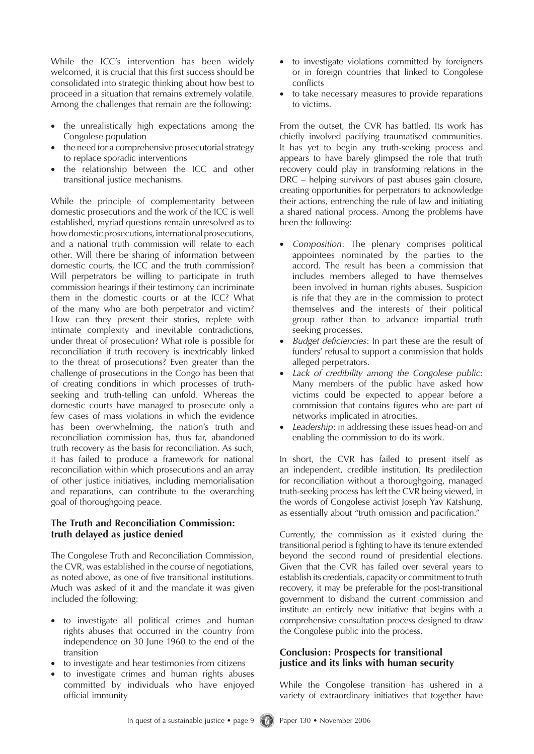While the ICC's intervention has been widely welcomed, it is crucial that this first success should be consolidated into strategic thinking about how best to proceed in a situation that remains extremely volatile. Among the challenges that remain are the following:

- the unrealistically high expectations among the Congolese population
- the need for a comprehensive prosecutorial strategy to replace sporadic interventions
- the relationship between the ICC and other transitional justice mechanisms.

While the principle of complementarity between domestic prosecutions and the work of the ICC is well established, myriad questions remain unresolved as to how domestic prosecutions, international prosecutions, and a national truth commission will relate to each other. Will there be sharing of information between domestic courts, the ICC and the truth commission? Will perpetrators be willing to participate in truth commission hearings if their testimony can incriminate them in the domestic courts or at the ICC? What of the many who are both perpetrator and victim? How can they present their stories, replete with intimate complexity and inevitable contradictions, under threat of prosecution? What role is possible for reconciliation if truth recovery is inextricably linked to the threat of prosecutions? Even greater than the challenge of prosecutions in the Congo has been that of creating conditions in which processes of truthseeking and truth-telling can unfold. Whereas the domestic courts have managed to prosecute only a few cases of mass violations in which the evidence has been overwhelming, the nation's truth and reconciliation commission has, thus far, abandoned truth recovery as the basis for reconciliation. As such, it has failed to produce a framework for national reconciliation within which prosecutions and an array of other justice initiatives, including memorialisation and reparations, can contribute to the overarching goal of thoroughgoing peace.

### **The Truth and Reconciliation Commission: truth delayed as justice denied**

The Congolese Truth and Reconciliation Commission, the CVR, was established in the course of negotiations, as noted above, as one of five transitional institutions. Much was asked of it and the mandate it was given included the following:

- to investigate all political crimes and human rights abuses that occurred in the country from independence on 30 June 1960 to the end of the transition
- to investigate and hear testimonies from citizens
- to investigate crimes and human rights abuses committed by individuals who have enjoyed official immunity
- to investigate violations committed by foreigners or in foreign countries that linked to Congolese conflicts
- to take necessary measures to provide reparations to victims.

From the outset, the CVR has battled. Its work has chiefly involved pacifying traumatised communities. It has yet to begin any truth-seeking process and appears to have barely glimpsed the role that truth recovery could play in transforming relations in the DRC – helping survivors of past abuses gain closure, creating opportunities for perpetrators to acknowledge their actions, entrenching the rule of law and initiating a shared national process. Among the problems have been the following:

- *Composition*: The plenary comprises political appointees nominated by the parties to the accord. The result has been a commission that includes members alleged to have themselves been involved in human rights abuses. Suspicion is rife that they are in the commission to protect themselves and the interests of their political group rather than to advance impartial truth seeking processes.
- *Budget deficiencies*: In part these are the result of funders' refusal to support a commission that holds alleged perpetrators.
- *Lack of credibility among the Congolese public*: Many members of the public have asked how victims could be expected to appear before a commission that contains figures who are part of networks implicated in atrocities.
- *Leadership*: in addressing these issues head-on and enabling the commission to do its work.

In short, the CVR has failed to present itself as an independent, credible institution. Its predilection for reconciliation without a thoroughgoing, managed truth-seeking process has left the CVR being viewed, in the words of Congolese activist Joseph Yav Katshung, as essentially about "truth omission and pacification."

Currently, the commission as it existed during the transitional period is fighting to have its tenure extended beyond the second round of presidential elections. Given that the CVR has failed over several years to establish its credentials, capacity or commitment to truth recovery, it may be preferable for the post-transitional government to disband the current commission and institute an entirely new initiative that begins with a comprehensive consultation process designed to draw the Congolese public into the process.

### **Conclusion: Prospects for transitional justice and its links with human security**

While the Congolese transition has ushered in a variety of extraordinary initiatives that together have

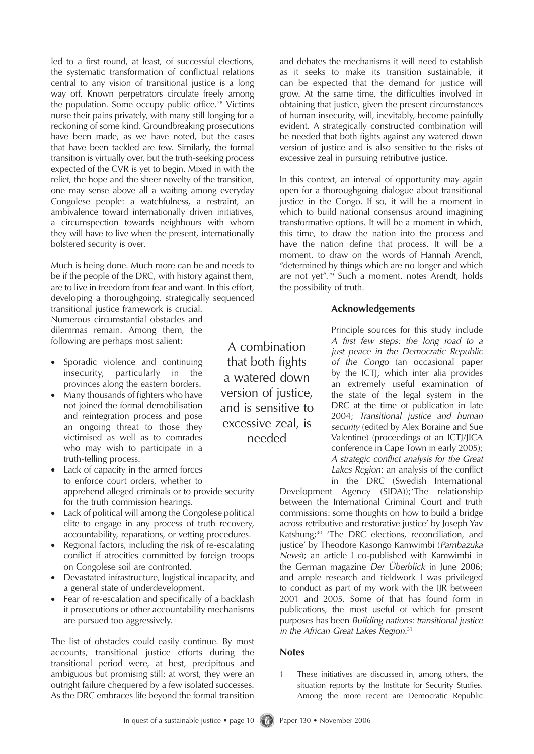led to a first round, at least, of successful elections, the systematic transformation of conflictual relations central to any vision of transitional justice is a long way off. Known perpetrators circulate freely among the population. Some occupy public office. $28$  Victims nurse their pains privately, with many still longing for a reckoning of some kind. Groundbreaking prosecutions have been made, as we have noted, but the cases that have been tackled are few. Similarly, the formal transition is virtually over, but the truth-seeking process expected of the CVR is yet to begin. Mixed in with the relief, the hope and the sheer novelty of the transition, one may sense above all a waiting among everyday Congolese people: a watchfulness, a restraint, an ambivalence toward internationally driven initiatives, a circumspection towards neighbours with whom they will have to live when the present, internationally bolstered security is over.

Much is being done. Much more can be and needs to be if the people of the DRC, with history against them, are to live in freedom from fear and want. In this effort, developing a thoroughgoing, strategically sequenced

transitional justice framework is crucial. Numerous circumstantial obstacles and dilemmas remain. Among them, the following are perhaps most salient:

- Sporadic violence and continuing insecurity, particularly in the provinces along the eastern borders.
- Many thousands of fighters who have not joined the formal demobilisation and reintegration process and pose an ongoing threat to those they victimised as well as to comrades who may wish to participate in a truth-telling process.
- Lack of capacity in the armed forces to enforce court orders, whether to apprehend alleged criminals or to provide security for the truth commission hearings.
- Lack of political will among the Congolese political elite to engage in any process of truth recovery, accountability, reparations, or vetting procedures.
- Regional factors, including the risk of re-escalating conflict if atrocities committed by foreign troops on Congolese soil are confronted.
- Devastated infrastructure, logistical incapacity, and a general state of underdevelopment.
- Fear of re-escalation and specifically of a backlash if prosecutions or other accountability mechanisms are pursued too aggressively.

The list of obstacles could easily continue. By most accounts, transitional justice efforts during the transitional period were, at best, precipitous and ambiguous but promising still; at worst, they were an outright failure chequered by a few isolated successes. As the DRC embraces life beyond the formal transition

and debates the mechanisms it will need to establish as it seeks to make its transition sustainable, it can be expected that the demand for justice will grow. At the same time, the difficulties involved in obtaining that justice, given the present circumstances of human insecurity, will, inevitably, become painfully evident. A strategically constructed combination will be needed that both fights against any watered down version of justice and is also sensitive to the risks of excessive zeal in pursuing retributive justice.

In this context, an interval of opportunity may again open for a thoroughgoing dialogue about transitional justice in the Congo. If so, it will be a moment in which to build national consensus around imagining transformative options. It will be a moment in which, this time, to draw the nation into the process and have the nation define that process. It will be a moment, to draw on the words of Hannah Arendt, "determined by things which are no longer and which are not yet".29 Such a moment, notes Arendt, holds the possibility of truth.

#### **Acknowledgements**

Principle sources for this study include *A first few steps: the long road to a just peace in the Democratic Republic of the Congo* (an occasional paper by the ICTJ*,* which inter alia provides an extremely useful examination of the state of the legal system in the DRC at the time of publication in late 2004; *Transitional justice and human security* (edited by Alex Boraine and Sue Valentine) (proceedings of an ICTJ/JICA conference in Cape Town in early 2005); *A strategic conflict analysis for the Great Lakes Region*: an analysis of the conflict in the DRC (Swedish International

Development Agency (SIDA));'The relationship between the International Criminal Court and truth commissions: some thoughts on how to build a bridge across retributive and restorative justice' by Joseph Yav Katshung;<sup>30</sup> 'The DRC elections, reconciliation, and justice' by Theodore Kasongo Kamwimbi (*Pambazuka News*); an article I co-published with Kamwimbi in the German magazine *Der Überblick* in June 2006; and ample research and fieldwork I was privileged to conduct as part of my work with the IJR between 2001 and 2005. Some of that has found form in publications, the most useful of which for present purposes has been *Building nations: transitional justice in the African Great Lakes Region*. 31

#### **Notes**

1 These initiatives are discussed in, among others, the situation reports by the Institute for Security Studies. Among the more recent are Democratic Republic

A combination that both fights a watered down version of justice, and is sensitive to excessive zeal, is needed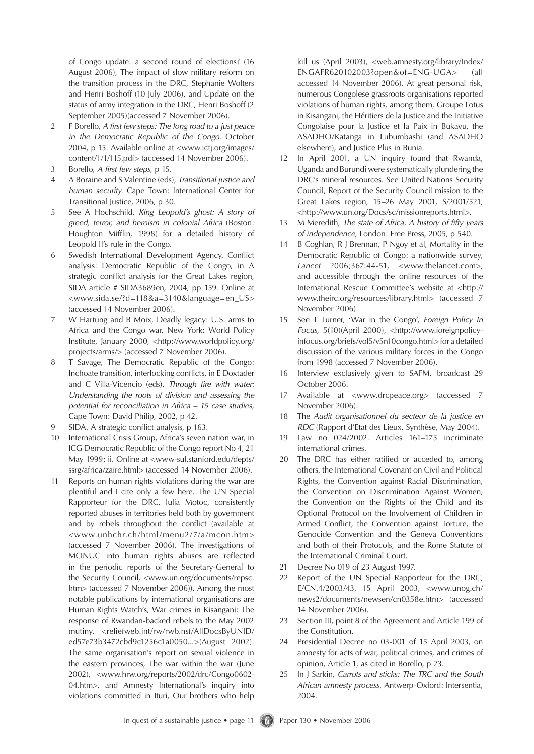of Congo update: a second round of elections? (16 August 2006), The impact of slow military reform on the transition process in the DRC, Stephanie Wolters and Henri Boshoff (10 July 2006), and Update on the status of army integration in the DRC, Henri Boshoff (2 September 2005)(accessed 7 November 2006).

- 2 F Borello, *A first few steps: The long road to a just peace in the Democratic Republic of the Congo.* October 2004, p 15. Available online at <www.ictj.org/images/ content/1/1/115.pdf> (accessed 14 November 2006).
- 3 Borello, *A first few steps,* p 15.
- 4 A Boraine and S Valentine (eds), *Transitional justice and human security.* Cape Town: International Center for Transitional Justice, 2006, p 30.
- 5 See A Hochschild, *King Leopold's ghost: A story of greed, terror, and heroism in colonial Africa* (Boston: Houghton Mifflin, 1998) for a detailed history of Leopold II's rule in the Congo.
- 6 Swedish International Development Agency, Conflict analysis: Democratic Republic of the Congo, in A strategic conflict analysis for the Great Lakes region, SIDA article # SIDA3689en, 2004, pp 159. Online at <www.sida.se/?d=118&a=3140&language=en\_US> (accessed 14 November 2006).
- 7 W Hartung and B Moix, Deadly legacy: U.S. arms to Africa and the Congo war, New York: World Policy Institute, January 2000, <http://www.worldpolicy.org/ projects/arms/> (accessed 7 November 2006).
- 8 T Savage, The Democratic Republic of the Congo: Inchoate transition, interlocking conflicts, in E Doxtader and C Villa-Vicencio (eds), *Through fire with water: Understanding the roots of division and assessing the potential for reconciliation in Africa – 15 case studies*, Cape Town: David Philip, 2002, p 42.
- 9 SIDA, A strategic conflict analysis, p 163.
- 10 International Crisis Group, Africa's seven nation war, in ICG Democratic Republic of the Congo report No 4, 21 May 1999: ii. Online at <www-sul.stanford.edu/depts/ ssrg/africa/zaire.html> (accessed 14 November 2006).
- 11 Reports on human rights violations during the war are plentiful and I cite only a few here. The UN Special Rapporteur for the DRC, Iulia Motoc, consistently reported abuses in territories held both by government and by rebels throughout the conflict (available at <www.unhchr.ch/html/menu2/7/a/mcon.htm> (accessed 7 November 2006). The investigations of MONUC into human rights abuses are reflected in the periodic reports of the Secretary-General to the Security Council, <www.un.org/documents/repsc. htm> (accessed 7 November 2006)). Among the most notable publications by international organisations are Human Rights Watch's, War crimes in Kisangani: The response of Rwandan-backed rebels to the May 2002 mutiny, <reliefweb.int/rw/rwb.nsf/AllDocsByUNID/ ed57e73b3472cbd9c1256c1a0050...>(August 2002). The same organisation's report on sexual violence in the eastern provinces, The war within the war (June 2002), <www.hrw.org/reports/2002/drc/Congo0602- 04.htm>, and Amnesty International's inquiry into violations committed in Ituri, Our brothers who help

kill us (April 2003), <web.amnesty.org/library/Index/  $ENGAFR620102003?open&of=ENG-UGA>$ accessed 14 November 2006). At great personal risk, numerous Congolese grassroots organisations reported violations of human rights, among them, Groupe Lotus in Kisangani, the Héritiers de la Justice and the Initiative Congolaise pour la Justice et la Paix in Bukavu, the ASADHO/Katanga in Lubumbashi (and ASADHO elsewhere), and Justice Plus in Bunia.

- 12 In April 2001, a UN inquiry found that Rwanda, Uganda and Burundi were systematically plundering the DRC's mineral resources. See United Nations Security Council, Report of the Security Council mission to the Great Lakes region, 15–26 May 2001, S/2001/521, <http://www.un.org/Docs/sc/missionreports.html>.
- 13 M Meredith, *The state of Africa: A history of fifty years of independence*, London: Free Press, 2005, p 540.
- 14 B Coghlan, R J Brennan, P Ngoy et al, Mortality in the Democratic Republic of Congo: a nationwide survey, *Lancet* 2006;367:44-51, <www.thelancet.com>, and accessible through the online resources of the International Rescue Committee's website at <http:// www.theirc.org/resources/library.html> (accessed 7 November 2006).
- 15 See T Turner, 'War in the Congo', *Foreign Policy In Focus,* 5(10)(April 2000), <http://www.foreignpolicyinfocus.org/briefs/vol5/v5n10congo.html> for a detailed discussion of the various military forces in the Congo from 1998 (accessed 7 November 2006).
- 16 Interview exclusively given to SAFM, broadcast 29 October 2006.
- 17 Available at <www.drcpeace.org> (accessed 7 November 2006).
- 18 The *Audit organisationnel du secteur de la justice en RDC* (Rapport d'Etat des Lieux, Synthèse, May 2004).
- 19 Law no 024/2002. Articles 161–175 incriminate international crimes.
- 20 The DRC has either ratified or acceded to, among others, the International Covenant on Civil and Political Rights, the Convention against Racial Discrimination, the Convention on Discrimination Against Women, the Convention on the Rights of the Child and its Optional Protocol on the Involvement of Children in Armed Conflict, the Convention against Torture, the Genocide Convention and the Geneva Conventions and both of their Protocols, and the Rome Statute of the International Criminal Court.
- 21 Decree No 019 of 23 August 1997.
- 22 Report of the UN Special Rapporteur for the DRC, E/CN.4/2003/43, 15 April 2003, <www.unog.ch/ news2/documents/newsen/cn0358e.htm> (accessed 14 November 2006).
- 23 Section III, point 8 of the Agreement and Article 199 of the Constitution.
- 24 Presidential Decree no 03-001 of 15 April 2003, on amnesty for acts of war, political crimes, and crimes of opinion, Article 1, as cited in Borello, p 23.
- 25 In J Sarkin, *Carrots and sticks: The TRC and the South African amnesty process*, Antwerp-Oxford: Intersentia, 2004.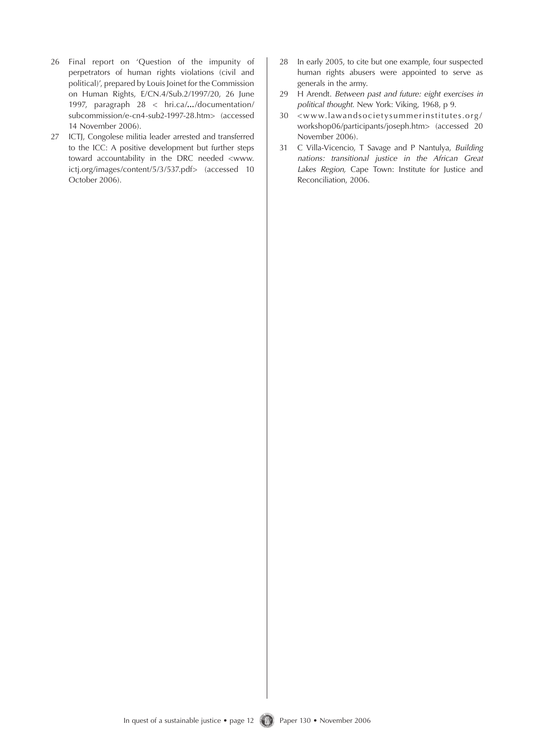- 26 Final report on 'Question of the impunity of perpetrators of human rights violations (civil and political)', prepared by Louis Joinet for the Commission on Human Rights, E/CN.4/Sub.2/1997/20, 26 June 1997, paragraph 28 < hri.ca/**...**/documentation/ subcommission/e-cn4-sub2-1997-28.htm> (accessed 14 November 2006).
- 27 ICTJ, Congolese militia leader arrested and transferred to the ICC: A positive development but further steps toward accountability in the DRC needed <www. ictj.org/images/content/5/3/537.pdf> (accessed 10 October 2006).
- 28 In early 2005, to cite but one example, four suspected human rights abusers were appointed to serve as generals in the army.
- 29 H Arendt. *Between past and future: eight exercises in political thought*. New York: Viking, 1968, p 9.
- 30 <w w w.lawandsociet ysummerinstitutes.org / workshop06/participants/joseph.htm> (accessed 20 November 2006).
- 31 C Villa-Vicencio, T Savage and P Nantulya, *Building nations: transitional justice in the African Great Lakes Region,* Cape Town: Institute for Justice and Reconciliation, 2006.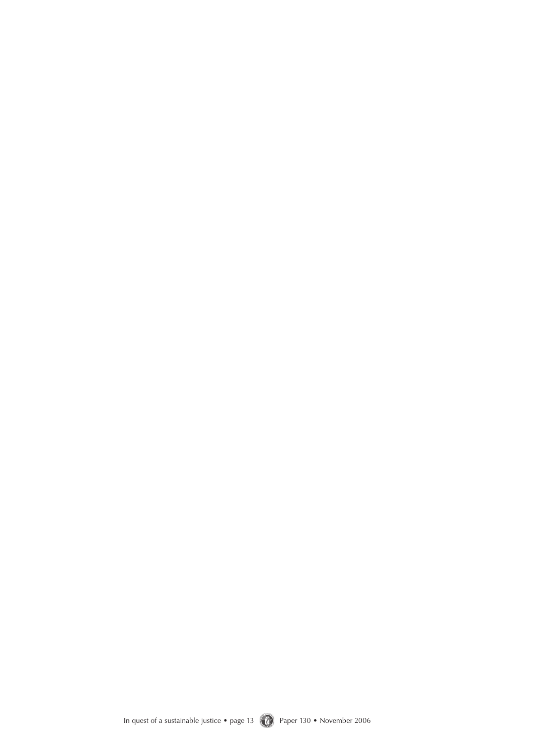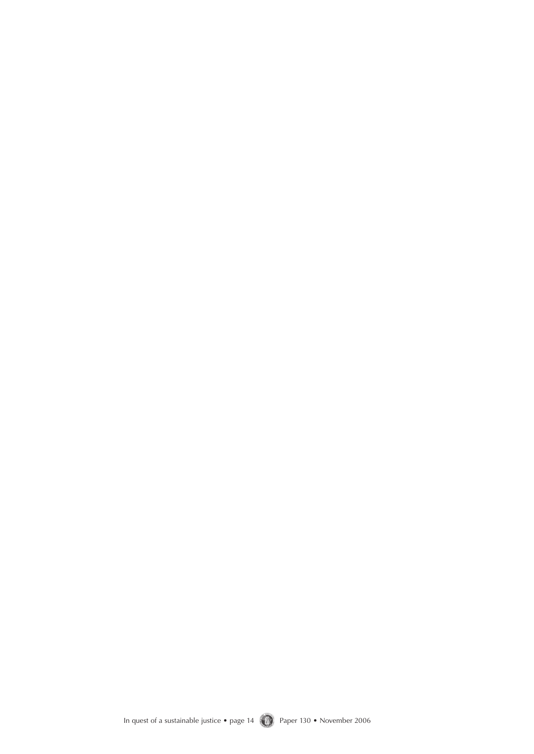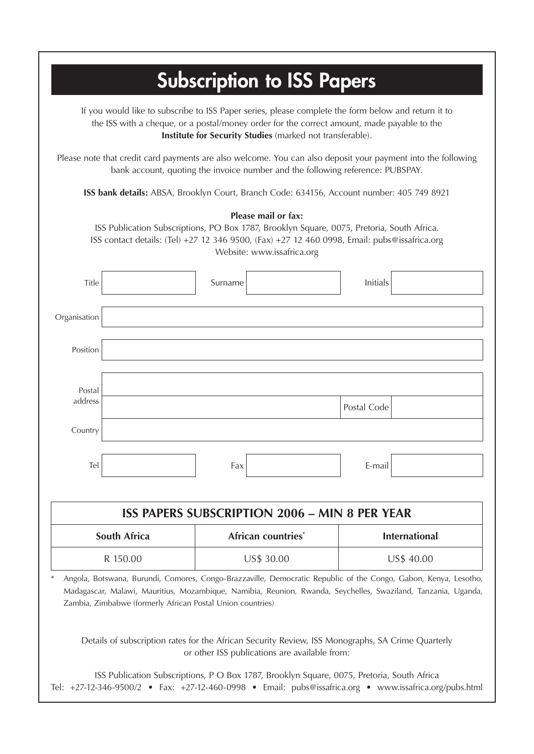# **Subscription to ISS Papers**

If you would like to subscribe to ISS Paper series, please complete the form below and return it to the ISS with a cheque, or a postal/money order for the correct amount, made payable to the **Institute for Security Studies** (marked not transferable).

Please note that credit card payments are also welcome. You can also deposit your payment into the following bank account, quoting the invoice number and the following reference: PUBSPAY.

**ISS bank details:** ABSA, Brooklyn Court, Branch Code: 634156, Account number: 405 749 8921

| Title             | Surname                                                                                                                                                                                                                                                                                        | Initials    |                      |
|-------------------|------------------------------------------------------------------------------------------------------------------------------------------------------------------------------------------------------------------------------------------------------------------------------------------------|-------------|----------------------|
|                   |                                                                                                                                                                                                                                                                                                |             |                      |
| Organisation      |                                                                                                                                                                                                                                                                                                |             |                      |
| Position          |                                                                                                                                                                                                                                                                                                |             |                      |
| Postal<br>address |                                                                                                                                                                                                                                                                                                |             |                      |
|                   |                                                                                                                                                                                                                                                                                                | Postal Code |                      |
| Country           |                                                                                                                                                                                                                                                                                                |             |                      |
| Tel               | Fax                                                                                                                                                                                                                                                                                            | E-mail      |                      |
|                   | <b>ISS PAPERS SUBSCRIPTION 2006 - MIN 8 PER YEAR</b>                                                                                                                                                                                                                                           |             |                      |
| South Africa      | African countries*                                                                                                                                                                                                                                                                             |             | <b>International</b> |
| R 150.00          | US\$ 30.00                                                                                                                                                                                                                                                                                     |             | US\$ 40.00           |
|                   | Angola, Botswana, Burundi, Comores, Congo-Brazzaville, Democratic Republic of the Congo, Gabon, Kenya, Lesotho,<br>Madagascar, Malawi, Mauritius, Mozambique, Namibia, Reunion, Rwanda, Seychelles, Swaziland, Tanzania, Uganda,<br>Zambia, Zimbabwe (formerly African Postal Union countries) |             |                      |
|                   | Details of subscription rates for the African Security Review, ISS Monographs, SA Crime Quarterly                                                                                                                                                                                              |             |                      |